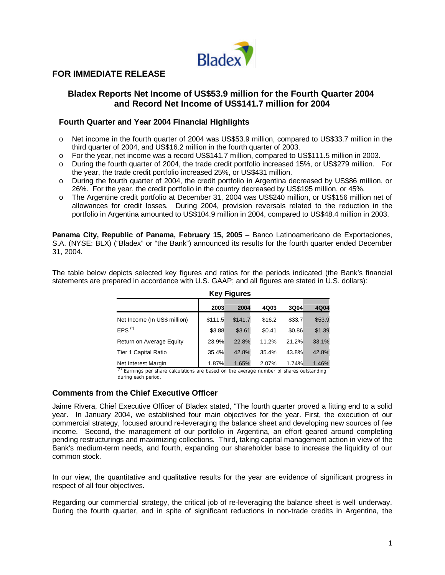

# **FOR IMMEDIATE RELEASE**

## **Bladex Reports Net Income of US\$53.9 million for the Fourth Quarter 2004 and Record Net Income of US\$141.7 million for 2004**

#### **Fourth Quarter and Year 2004 Financial Highlights**

- o Net income in the fourth quarter of 2004 was US\$53.9 million, compared to US\$33.7 million in the third quarter of 2004, and US\$16.2 million in the fourth quarter of 2003.
- o For the year, net income was a record US\$141.7 million, compared to US\$111.5 million in 2003.
- o During the fourth quarter of 2004, the trade credit portfolio increased 15%, or US\$279 million. For the year, the trade credit portfolio increased 25%, or US\$431 million.
- o During the fourth quarter of 2004, the credit portfolio in Argentina decreased by US\$86 million, or 26%. For the year, the credit portfolio in the country decreased by US\$195 million, or 45%.
- o The Argentine credit portfolio at December 31, 2004 was US\$240 million, or US\$156 million net of allowances for credit losses. During 2004, provision reversals related to the reduction in the portfolio in Argentina amounted to US\$104.9 million in 2004, compared to US\$48.4 million in 2003.

**Panama City, Republic of Panama, February 15, 2005** – Banco Latinoamericano de Exportaciones, S.A. (NYSE: BLX) ("Bladex" or "the Bank") announced its results for the fourth quarter ended December 31, 2004.

The table below depicts selected key figures and ratios for the periods indicated (the Bank's financial statements are prepared in accordance with U.S. GAAP; and all figures are stated in U.S. dollars):

| <b>Key Figures</b>           |         |         |        |        |        |
|------------------------------|---------|---------|--------|--------|--------|
|                              | 2003    | 2004    | 4Q03   | 3Q04   | 4Q04   |
| Net Income (In US\$ million) | \$111.5 | \$141.7 | \$16.2 | \$33.7 | \$53.9 |
| $EPS$ <sup>(*)</sup>         | \$3.88  | \$3.61  | \$0.41 | \$0.86 | \$1.39 |
| Return on Average Equity     | 23.9%   | 22.8%   | 11.2%  | 21.2%  | 33.1%  |
| <b>Tier 1 Capital Ratio</b>  | 35.4%   | 42.8%   | 35.4%  | 43.8%  | 42.8%  |
| Net Interest Margin          | 1.87%   | 1.65%   | 2.07%  | 1.74%  | 1.46%  |

(\*) Earnings per share calculations are based on the average number of shares outstanding during each period.

#### **Comments from the Chief Executive Officer**

Jaime Rivera, Chief Executive Officer of Bladex stated, "The fourth quarter proved a fitting end to a solid year. In January 2004, we established four main objectives for the year. First, the execution of our commercial strategy, focused around re-leveraging the balance sheet and developing new sources of fee income. Second, the management of our portfolio in Argentina, an effort geared around completing pending restructurings and maximizing collections. Third, taking capital management action in view of the Bank's medium-term needs, and fourth, expanding our shareholder base to increase the liquidity of our common stock.

In our view, the quantitative and qualitative results for the year are evidence of significant progress in respect of all four objectives.

Regarding our commercial strategy, the critical job of re-leveraging the balance sheet is well underway. During the fourth quarter, and in spite of significant reductions in non-trade credits in Argentina, the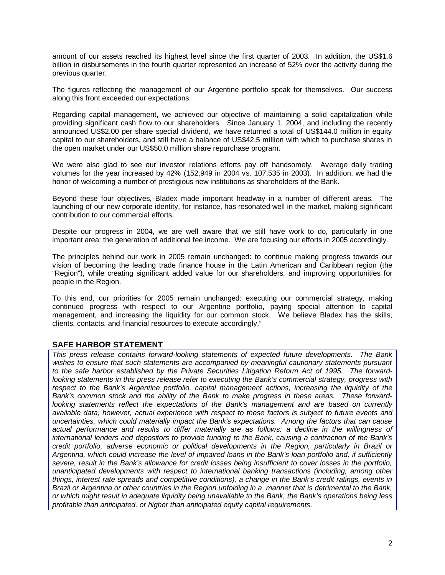amount of our assets reached its highest level since the first quarter of 2003. In addition, the US\$1.6 billion in disbursements in the fourth quarter represented an increase of 52% over the activity during the previous quarter.

The figures reflecting the management of our Argentine portfolio speak for themselves. Our success along this front exceeded our expectations.

Regarding capital management, we achieved our objective of maintaining a solid capitalization while providing significant cash flow to our shareholders. Since January 1, 2004, and including the recently announced US\$2.00 per share special dividend, we have returned a total of US\$144.0 million in equity capital to our shareholders, and still have a balance of US\$42.5 million with which to purchase shares in the open market under our US\$50.0 million share repurchase program.

We were also glad to see our investor relations efforts pay off handsomely. Average daily trading volumes for the year increased by 42% (152,949 in 2004 vs. 107,535 in 2003). In addition, we had the honor of welcoming a number of prestigious new institutions as shareholders of the Bank.

Beyond these four objectives, Bladex made important headway in a number of different areas. The launching of our new corporate identity, for instance, has resonated well in the market, making significant contribution to our commercial efforts.

Despite our progress in 2004, we are well aware that we still have work to do, particularly in one important area: the generation of additional fee income. We are focusing our efforts in 2005 accordingly.

The principles behind our work in 2005 remain unchanged: to continue making progress towards our vision of becoming the leading trade finance house in the Latin American and Caribbean region (the "Region"), while creating significant added value for our shareholders, and improving opportunities for people in the Region.

To this end, our priorities for 2005 remain unchanged: executing our commercial strategy, making continued progress with respect to our Argentine portfolio, paying special attention to capital management, and increasing the liquidity for our common stock. We believe Bladex has the skills, clients, contacts, and financial resources to execute accordingly."

## **SAFE HARBOR STATEMENT**

*This press release contains forward-looking statements of expected future developments. The Bank* wishes to ensure that such statements are accompanied by meaningful cautionary statements pursuant *to the safe harbor established by the Private Securities Litigation Reform Act of 1995. The forwardlooking statements in this press release refer to executing the Bank's commercial strategy, progress with respect to the Bank's Argentine portfolio, capital management actions, increasing the liquidity of the Bank's common stock and the ability of the Bank to make progress in these areas. These forwardlooking statements reflect the expectations of the Bank's management and are based on currently available data; however, actual experience with respect to these factors is subject to future events and uncertainties, which could materially impact the Bank's expectations. Among the factors that can cause actual performance and results to differ materially are as follows: a decline in the willingness of international lenders and depositors to provide funding to the Bank, causing a contraction of the Bank's credit portfolio, adverse economic or political developments in the Region, particularly in Brazil or Argentina, which could increase the level of impaired loans in the Bank's loan portfolio and, if sufficiently severe, result in the Bank's allowance for credit losses being insufficient to cover losses in the portfolio, unanticipated developments with respect to international banking transactions (including, among other things, interest rate spreads and competitive conditions), a change in the Bank's credit ratings, events in Brazil or Argentina or other countries in the Region unfolding in a manner that is detrimental to the Bank, or which might result in adequate liquidity being unavailable to the Bank, the Bank's operations being less profitable than anticipated, or higher than anticipated equity capital requirements.*